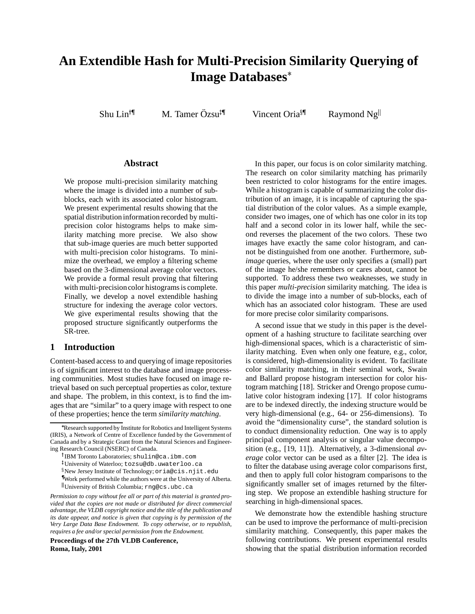# **An Extendible Hash for Multi-Precision Similarity Querying of Image Databases**

Shu Lin $^{\uparrow\!\P}$ 

M. Tamer Özsu<sup>‡</sup>

Vincent Oria<sup>§</sup>

Raymond Ng

## **Abstract**

We propose multi-precision similarity matching where the image is divided into a number of subblocks, each with its associated color histogram. We present experimental results showing that the spatial distribution information recorded by multiprecision color histograms helps to make similarity matching more precise. We also show that sub-image queries are much better supported with multi-precision color histograms. To minimize the overhead, we employ a filtering scheme based on the 3-dimensional average color vectors. We provide a formal result proving that filtering with multi-precision color histograms is complete. Finally, we develop a novel extendible hashing structure for indexing the average color vectors. We give experimental results showing that the proposed structure significantly outperforms the SR-tree.

# **1 Introduction**

Content-based access to and querying of image repositories is of significant interest to the database and image processing communities. Most studies have focused on image retrieval based on such perceptual properties as color, texture and shape. The problem, in this context, is to find the images that are "similar" to a query image with respect to one of these properties; hence the term *similarity matching*.

 Work performed while the authors were at the University of Alberta. University of British Columbia; rng@cs.ubc.ca

*Permission to copy without fee all or part of this material is granted provided that the copies are not made or distributed for direct commercial advantage, the VLDB copyright notice and the title of the publication and its date appear, and notice is given that copying is by permission of the Very Large Data Base Endowment. To copy otherwise, or to republish, requires a fee and/or special permission from the Endowment.*

**Proceedings of the 27th VLDB Conference, Roma, Italy, 2001**

In this paper, our focus is on color similarity matching. The research on color similarity matching has primarily been restricted to color histograms for the entire images. While a histogram is capable of summarizing the color distribution of an image, it is incapable of capturing the spatial distribution of the color values. As a simple example, consider two images, one of which has one color in its top half and a second color in its lower half, while the second reverses the placement of the two colors. These two images have exactly the same color histogram, and cannot be distinguished from one another. Furthermore, *subimage* queries, where the user only specifies a (small) part of the image he/she remembers or cares about, cannot be supported. To address these two weaknesses, we study in this paper *multi-precision* similarity matching. The idea is to divide the image into a number of sub-blocks, each of which has an associated color histogram. These are used for more precise color similarity comparisons.

A second issue that we study in this paper is the development of a hashing structure to facilitate searching over high-dimensional spaces, which is a characteristic of similarity matching. Even when only one feature, e.g., color, is considered, high-dimensionality is evident. To facilitate color similarity matching, in their seminal work, Swain and Ballard propose histogram intersection for color histogram matching [18]. Stricker and Orengo propose cumulative color histogram indexing [17]. If color histograms are to be indexed directly, the indexing structure would be very high-dimensional (e.g., 64- or 256-dimensions). To avoid the "dimensionality curse", the standard solution is to conduct dimensionality reduction. One way is to apply principal component analysis or singular value decomposition (e.g., [19, 11]). Alternatively, a 3-dimensional *average* color vector can be used as a filter [2]. The idea is to filter the database using average color comparisons first, and then to apply full color histogram comparisons to the significantly smaller set of images returned by the filtering step. We propose an extendible hashing structure for searching in high-dimensional spaces.

We demonstrate how the extendible hashing structure can be used to improve the performance of multi-precision similarity matching. Consequently, this paper makes the following contributions. We present experimental results showing that the spatial distribution information recorded

Research supported by Institute for Robotics and Intelligent Systems (IRIS), a Network of Centre of Excellence funded by the Government of Canada and by a Strategic Grant from the Natural Sciences and Engineering Research Council (NSERC) of Canada.

 IBM Toronto Laboratories; shulin@ca.ibm.com

 University of Waterloo; tozsu@db.uwaterloo.ca

 $\S$ New Jersey Institute of Technology; oria@cis.njit.edu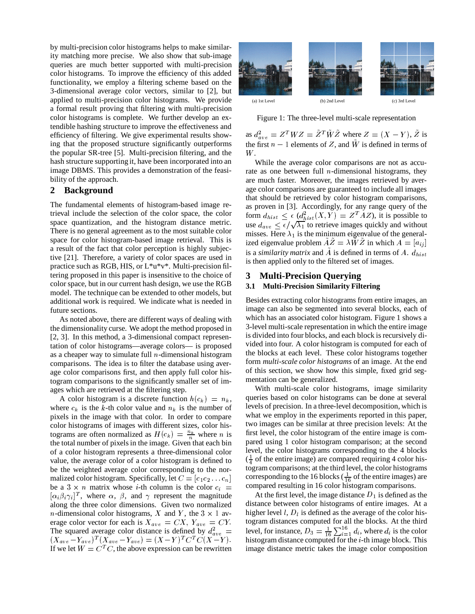by multi-precision color histograms helps to make similarity matching more precise. We also show that sub-image queries are much better supported with multi-precision color histograms. To improve the efficiency of this added functionality, we employ a filtering scheme based on the 3-dimensional average color vectors, similar to [2], but applied to multi-precision color histograms. We provide a formal result proving that filtering with multi-precision color histograms is complete. We further develop an extendible hashing structure to improve the effectiveness and efficiency of filtering. We give experimental results showing that the proposed structure significantly outperforms the popular SR-tree [5]. Multi-precision filtering, and the hash structure supporting it, have been incorporated into an image DBMS. This provides a demonstration of the feasibility of the approach.

# **2 Background**

The fundamental elements of histogram-based image retrieval include the selection of the color space, the color space quantization, and the histogram distance metric. There is no general agreement as to the most suitable color space for color histogram-based image retrieval. This is a result of the fact that color perception is highly subjective [21]. Therefore, a variety of color spaces are used in practice such as RGB, HIS, or L\*u\*v\*. Multi-precision filtering proposed in this paper is insensitive to the choice of color space, but in our current hash design, we use the RGB model. The technique can be extended to other models, but additional work is required. We indicate what is needed in future sections.

As noted above, there are different ways of dealing with the dimensionality curse. We adopt the method proposed in [2, 3]. In this method, a 3-dimensional compact representation of color histograms—average colors— is proposed as a cheaper way to simulate full  $n$ -dimensional histogram comparisons. The idea is to filter the database using average color comparisons first, and then apply full color histogram comparisons to the significantly smaller set of images which are retrieved at the filtering step.

A color histogram is a discrete function  $h(c_k) = n_k$ , where  $c_k$  is the k-th color value and  $n_k$  is the number of pixels in the image with that color. In order to compare color histograms of images with different sizes, color histograms are often normalized as  $H(c_k) = \frac{n_k}{n}$  where *n* is first the total number of pixels in the image. Given that each bin of a color histogram represents a three-dimensional color value, the average color of a color histogram is defined to be the weighted average color corresponding to the normalized color histogram. Specifically, let  $C = [c_1c_2 \dots c_n]$ be a  $3 \times n$  matrix whose *i*-th column is the color  $c_i$  $[\alpha_i \beta_i \gamma_i]^T$ , where  $\alpha$ ,  $\beta$ , and  $\gamma$  represent the magnitude along the three color dimensions. Given two normalized *n*-dimensional color histograms, X and Y, the  $3 \times 1$  average color vector for each is  $X_{ave} = CX$ ,  $Y_{ave} = CY$ . The squared average color distance is defined by  $d_{ave}^2 = 4$  $(X_{ave} - Y_{ave})^T (X_{ave} - Y_{ave}) = (X - Y)^T C^T C (X - Y).$  hi If we let  $W = C^T C$ , the above expression can be rewritten



Figure 1: The three-level multi-scale representation

as  $d_{ave}^2 = Z^T W Z = \tilde{Z}^T \tilde{W} \tilde{Z}$  where  $Z = (X - Y), \tilde{Z}$  is the first  $n-1$  elements of Z, and W is defined in terms of W.

While the average color comparisons are not as accurate as one between full  $n$ -dimensional histograms, they are much faster. Moreover, the images retrieved by average color comparisons are guaranteed to include all images that should be retrieved by color histogram comparisons, as proven in [3]. Accordingly, for any range query of the form  $d_{hist} \leq \epsilon (d_{hist}^2(X, Y) = Z^T A Z)$ , it is possible to use  $d_{ave} \leq \epsilon / \sqrt{\lambda_1}$  to retrieve images quickly and without misses. Here  $\lambda_1$  is the minimum eigenvalue of the generalized eigenvalue problem  $AZ = \lambda WZ$  in which  $A = [a_{ij}]$ is a *similarity matrix* and  $\tilde{A}$  is defined in terms of A.  $d_{hist}$ is then applied only to the filtered set of images.

# **3 Multi-Precision Querying**

# **3.1 Multi-Precision Similarity Filtering**

Besides extracting color histograms from entire images, an image can also be segmented into several blocks, each of which has an associated color histogram. Figure 1 shows a 3-level multi-scale representation in which the entire image is divided into four blocks, and each block is recursively divided into four. A color histogram is computed for each of the blocks at each level. These color histograms together form *multi-scale color histograms* of an image. At the end of this section, we show how this simple, fixed grid segmentation can be generalized.

 $n_k$ , queries based on color histograms can be done at several compared resulting in 16 color histogram comparisons. With multi-scale color histograms, image similarity levels of precision. In a three-level decomposition, which is what we employ in the experiments reported in this paper, two images can be similar at three precision levels: At the first level, the color histogram of the entire image is compared using 1 color histogram comparison; at the second level, the color histograms corresponding to the 4 blocks  $(\frac{1}{4}$  of the entire image) are compared requiring 4 color histogram comparisons; at the third level, the color histograms corresponding to the 16 blocks  $(\frac{1}{16}$  of the entire images) are

 togram distances computed for all the blocks. At the third level, for instance,  $D_3 = \frac{1}{16} \sum_{i=1}^{16} d_i$ , where  $d_i$  is the color  $(X - Y)$ . histogram distance computed for the *i*-th image block. This At the first level, the image distance  $D_1$  is defined as the distance between color histograms of entire images. At a higher level  $l$ ,  $D_l$  is defined as the average of the color hisimage distance metric takes the image color composition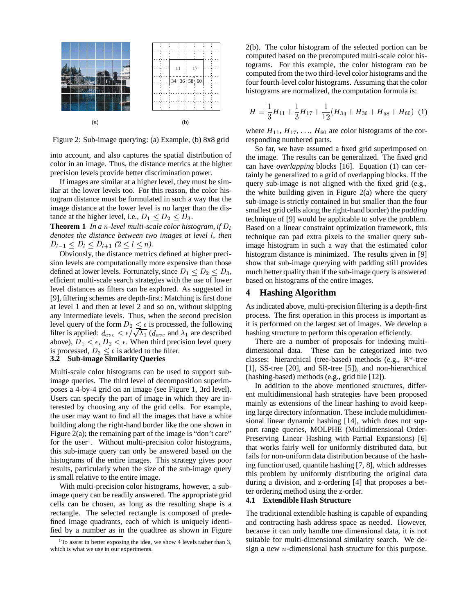

Figure 2: Sub-image querying: (a) Example, (b) 8x8 grid

into account, and also captures the spatial distribution of color in an image. Thus, the distance metrics at the higher precision levels provide better discrimination power.

If images are similar at a higher level, they must be similar at the lower levels too. For this reason, the color histogram distance must be formulated in such a way that the image distance at the lower level is no larger than the distance at the higher level, i.e.,  $D_1 \leq D_2 \leq D_3$ .

**Theorem 1** In a n-level multi-scale color histogram, if  $D_l$ *denotes the distance between two images at level* ` *, then*  $D_{l-1} \leq D_l \leq D_{l+1}$  ( $2 \leq l \leq n$ ).

Obviously, the distance metrics defined at higher precision levels are computationally more expensive than those defined at lower levels. Fortunately, since  $D_1 \leq D_2 \leq D_3$ , much efficient multi-scale search strategies with the use of lower level distances as filters can be explored. As suggested in [9], filtering schemes are depth-first: Matching is first done at level 1 and then at level 2 and so on, without skipping any intermediate levels. Thus, when the second precision level query of the form  $D_2 \leq \epsilon$  is processed, the following filter is applied:  $d_{ave} \leq \epsilon/\sqrt{\lambda_1}$  ( $d_{ave}$  and  $\lambda_1$  are described above),  $D_1 \leq \epsilon$ ,  $D_2 \leq \epsilon$ . When third precision level query is processed,  $D_3 < \epsilon$  is added to the filter.

# **3.2 Sub-image Similarity Queries**

Multi-scale color histograms can be used to support subimage queries. The third level of decomposition superimposes a 4-by-4 grid on an image (see Figure 1, 3rd level). Users can specify the part of image in which they are interested by choosing any of the grid cells. For example, the user may want to find all the images that have a white building along the right-hand border like the one shown in Figure 2(a); the remaining part of the image is "don't care" for the user<sup>1</sup>. Without multi-precision color histograms, this sub-image query can only be answered based on the histograms of the entire images. This strategy gives poor results, particularly when the size of the sub-image query is small relative to the entire image.

With multi-precision color histograms, however, a subimage query can be readily answered. The appropriate grid cells can be chosen, as long as the resulting shape is a rectangle. The selected rectangle is composed of predefined image quadrants, each of which is uniquely identified by a number as in the quadtree as shown in Figure 2(b). The color histogram of the selected portion can be computed based on the precomputed multi-scale color histograms. For this example, the color histogram can be computed from the two third-level color histograms and the four fourth-level color histograms. Assuming that the color histograms are normalized, the computation formula is:

$$
H = \frac{1}{3}H_{11} + \frac{1}{3}H_{17} + \frac{1}{12}(H_{34} + H_{36} + H_{58} + H_{60})
$$
 (1)

where  $H_{11}$ ,  $H_{17}$ , ...,  $H_{60}$  are color histograms of the corresponding numbered parts.

So far, we have assumed a fixed grid superimposed on the image. The results can be generalized. The fixed grid can have *overlapping* blocks [16]. Equation (1) can certainly be generalized to a grid of overlapping blocks. If the query sub-image is not aligned with the fixed grid (e.g., the white building given in Figure 2(a) where the query sub-image is strictly contained in but smaller than the four smallest grid cells along the right-hand border) the *padding* technique of [9] would be applicable to solve the problem. Based on a linear constraint optimization framework, this technique can pad extra pixels to the smaller query subimage histogram in such a way that the estimated color histogram distance is minimized. The results given in [9] show that sub-image querying with padding still provides much better quality than if the sub-image query is answered based on histograms of the entire images.

#### **4 Hashing Algorithm**

As indicated above, multi-precision filtering is a depth-first process. The first operation in this process is important as it is performed on the largest set of images. We develop a hashing structure to perform this operation efficiently.

There are a number of proposals for indexing multidimensional data. These can be categorized into two classes: hierarchical (tree-based) methods (e.g., R\*-tree [1], SS-tree [20], and SR-tree [5]), and non-hierarchical (hashing-based) methods (e.g., grid file [12]).

In addition to the above mentioned structures, different multidimensional hash strategies have been proposed mainly as extensions of the linear hashing to avoid keeping large directory information. These include multidimensional linear dynamic hashing [14], which does not support range queries, MOLPHE (Multidimensional Order-Preserving Linear Hashing with Partial Expansions) [6] that works fairly well for uniformly distributed data, but fails for non-uniform data distribution because of the hashing function used, quantile hashing [7, 8], which addresses this problem by uniformly distributing the original data during a division, and z-ordering [4] that proposes a better ordering method using the z-order.

# **4.1 Extendible Hash Structure**

The traditional extendible hashing is capable of expanding and contracting hash address space as needed. However, because it can only handle one dimensional data, it is not suitable for multi-dimensional similarity search. We design a new  $n$ -dimensional hash structure for this purpose.

<sup>&</sup>lt;sup>1</sup>To assist in better exposing the idea, we show 4 levels rather than 3, which is what we use in our experiments.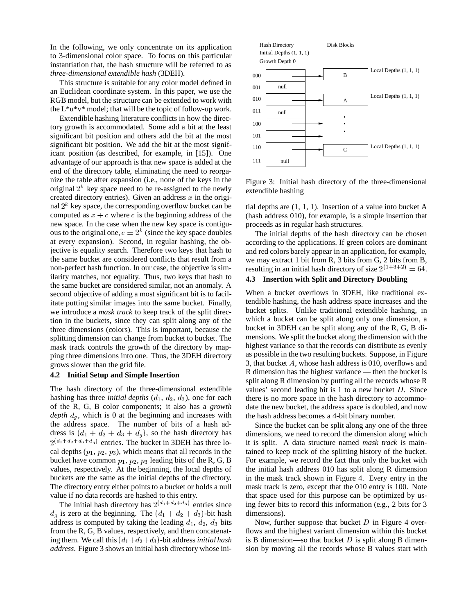In the following, we only concentrate on its application to 3-dimensional color space. To focus on this particular instantiation that, the hash structure will be referred to as *three-dimensional extendible hash* (3DEH).

This structure is suitable for any color model defined in an Euclidean coordinate system. In this paper, we use the RGB model, but the structure can be extended to work with the  $L^*u^*v^*$  model; that will be the topic of follow-up work.

Extendible hashing literature conflicts in how the directory growth is accommodated. Some add a bit at the least significant bit position and others add the bit at the most significant bit position. We add the bit at the most significant position (as described, for example, in [15]). One advantage of our approach is that new space is added at the end of the directory table, eliminating the need to reorganize the table after expansion (i.e., none of the keys in the original  $2^k$  key space need to be re-assigned to the newly created directory entries). Given an address  $x$  in the original  $2^k$  key space, the corresponding overflow bucket can be computed as  $x + c$  where c is the beginning address of the new space. In the case when the new key space is contigu ous to the original one,  $c = 2<sup>k</sup>$  (since the key space doubles at every expansion). Second, in regular hashing, the objective is equality search. Therefore two keys that hash to the same bucket are considered conflicts that result from a non-perfect hash function. In our case, the objective is similarity matches, not equality. Thus, two keys that hash to the same bucket are considered similar, not an anomaly. A second objective of adding a most significant bit is to facilitate putting similar images into the same bucket. Finally, we introduce a *mask track* to keep track of the split direction in the buckets, since they can split along any of the three dimensions (colors). This is important, because the splitting dimension can change from bucket to bucket. The mask track controls the growth of the directory by mapping three dimensions into one. Thus, the 3DEH directory grows slower than the grid file.

#### **4.2 Initial Setup and Simple Insertion**

The hash directory of the three-dimensional extendible hashing has three *initial depths*  $(d_1, d_2, d_3)$ , one for each of the R, G, B color components; it also has a *growth*  $depth d_q$ , which is 0 at the beginning and increases with the address space. The number of bits of a hash address is  $(d_1 + d_2 + d_3 + d_g)$ , so the hash directory has  $2^{(d_1+d_2+d_3+d_g)}$  entries. The bucket in 3DEH has three local depths  $(p_1, p_2, p_3)$ , which means that all records in the bucket have common  $p_1$ ,  $p_2$ ,  $p_3$  leading bits of the R, G, B values, respectively. At the beginning, the local depths of buckets are the same as the initial depths of the directory. The directory entry either points to a bucket or holds a null value if no data records are hashed to this entry.

The initial hash directory has  $2^{(d_1+d_2+d_3)}$  entries since  $d_q$  is zero at the beginning. The  $(d_1 + d_2 + d_3)$ -bit hash address is computed by taking the leading  $d_1, d_2, d_3$  bits from the R, G, B values, respectively, and then concatenating them. We call this  $(d_1+d_2+d_3)$ -bit address *initial hash address*. Figure 3 shows an initial hash directory whose ini-



Figure 3: Initial hash directory of the three-dimensional extendible hashing

tial depths are (1, 1, 1). Insertion of a value into bucket A (hash address 010), for example, is a simple insertion that proceeds as in regular hash structures.

The initial depths of the hash directory can be chosen according to the applications. If green colors are dominant and red colors barely appear in an application, for example, we may extract 1 bit from R, 3 bits from G, 2 bits from B, resulting in an initial hash directory of size  $2^{(1+3+2)} = 64$ .

# **4.3 Insertion with Split and Directory Doubling**

When a bucket overflows in 3DEH, like traditional extendible hashing, the hash address space increases and the bucket splits. Unlike traditional extendible hashing, in which a bucket can be split along only one dimension, a bucket in 3DEH can be split along any of the R, G, B dimensions. We split the bucket along the dimension with the highest variance so that the records can distribute as evenly as possible in the two resulting buckets. Suppose, in Figure 3, that bucket  $A$ , whose hash address is 010, overflows and R dimension has the highest variance — then the bucket is split along R dimension by putting all the records whose R values' second leading bit is 1 to a new bucket  $D$ . Since there is no more space in the hash directory to accommodate the new bucket, the address space is doubled, and now the hash address becomes a 4-bit binary number.

Since the bucket can be split along any one of the three dimensions, we need to record the dimension along which it is split. A data structure named *mask track* is maintained to keep track of the splitting history of the bucket. For example, we record the fact that only the bucket with the initial hash address 010 has split along R dimension in the mask track shown in Figure 4. Every entry in the mask track is zero, except that the 010 entry is 100. Note that space used for this purpose can be optimized by using fewer bits to record this information (e.g., 2 bits for 3 dimensions).

Now, further suppose that bucket  $D$  in Figure 4 overflows and the highest variant dimension within this bucket is B dimension—so that bucket  $D$  is split along B dimension by moving all the records whose B values start with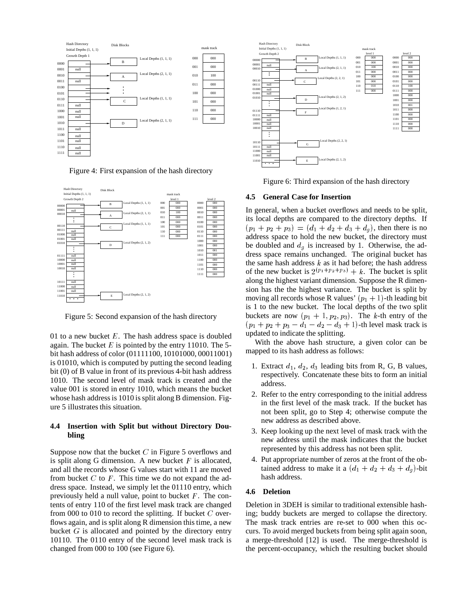

Figure 4: First expansion of the hash directory



Figure 5: Second expansion of the hash directory

01 to a new bucket  $E$ . The hash address space is doubled again. The bucket  $E$  is pointed by the entry 11010. The 5bit hash address of color (01111100, 10101000, 00011001) is 01010, which is computed by putting the second leading bit (0) of B value in front of its previous 4-bit hash address 1010. The second level of mask track is created and the value 001 is stored in entry 1010, which means the bucket whose hash address is 1010 is split along B dimension. Figure 5 illustrates this situation.

# **4.4 Insertion with Split but without Directory Doubling**

Suppose now that the bucket  $C$  in Figure 5 overflows and is split along G dimension. A new bucket  $F$  is allocated, and all the records whose G values start with 11 are moved from bucket  $C$  to  $F$ . This time we do not expand the address space. Instead, we simply let the 01110 entry, which previously held a null value, point to bucket  $F$ . The contents of entry 110 of the first level mask track are changed from 000 to 010 to record the splitting. If bucket  $C$  overflows again, and is split along R dimension this time, a new bucket  $G$  is allocated and pointed by the directory entry 10110. The 0110 entry of the second level mask track is changed from 000 to 100 (see Figure 6).



Figure 6: Third expansion of the hash directory

#### **4.5 General Case for Insertion**

In general, when a bucket overflows and needs to be split, its local depths are compared to the directory depths. If  $(p_1 + p_2 + p_3) = (d_1 + d_2 + d_3 + d_g)$ , then there is no address space to hold the new bucket, the directory must be doubled and  $d_g$  is increased by 1. Otherwise, the address space remains unchanged. The original bucket has the same hash address  $k$  as it had before; the hash address of the new bucket is  $2^{(p_1+p_2+p_3)} + k$ . The bucket is split along the highest variant dimension. Suppose the R dimension has the the highest variance. The bucket is split by moving all records whose R values'  $(p_1 + 1)$ -th leading bit is 1 to the new bucket. The local depths of the two split buckets are now  $(p_1 + 1, p_2, p_3)$ . The k-th entry of the  $(p_1 + p_2 + p_3 - d_1 - d_2 - d_3 + 1)$ -th level mask track is updated to indicate the splitting.

With the above hash structure, a given color can be mapped to its hash address as follows:

- 1. Extract  $d_1, d_2, d_3$  leading bits from R, G, B values, respectively. Concatenate these bits to form an initial address.
- 2. Refer to the entry corresponding to the initial address in the first level of the mask track. If the bucket has not been split, go to Step 4; otherwise compute the new address as described above.
- 3. Keep looking up the next level of mask track with the new address until the mask indicates that the bucket represented by this address has not been split.
- 4. Put appropriate number of zeros at the front of the obtained address to make it a  $(d_1 + d_2 + d_3 + d_g)$ -bit hash address.

#### **4.6 Deletion**

Deletion in 3DEH is similar to traditional extensible hashing; buddy buckets are merged to collapse the directory. The mask track entries are re-set to 000 when this occurs. To avoid merged buckets from being split again soon, a merge-threshold [12] is used. The merge-threshold is the percent-occupancy, which the resulting bucket should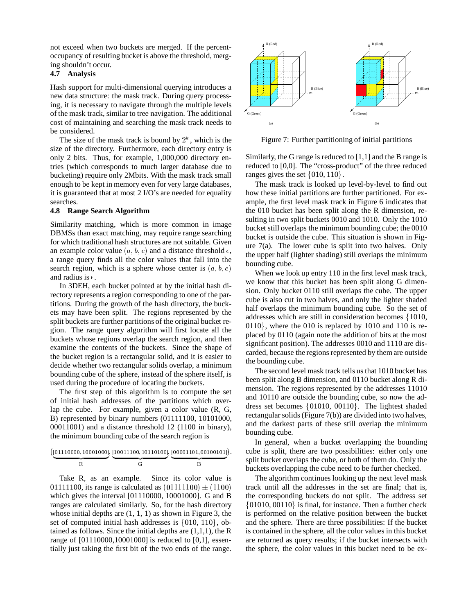not exceed when two buckets are merged. If the percentoccupancy of resulting bucket is above the threshold, merging shouldn't occur.

#### **4.7 Analysis**

Hash support for multi-dimensional querying introduces a new data structure: the mask track. During query processing, it is necessary to navigate through the multiple levels of the mask track, similar to tree navigation. The additional cost of maintaining and searching the mask track needs to be considered.

The size of the mask track is bound by  $2<sup>k</sup>$ , which is the size of the directory. Furthermore, each directory entry is only 2 bits. Thus, for example, 1,000,000 directory entries (which corresponds to much larger database due to bucketing) require only 2Mbits. With the mask track small enough to be kept in memory even for very large databases, it is guaranteed that at most 2 I/O's are needed for equality searches.

#### **4.8 Range Search Algorithm**

Similarity matching, which is more common in image DBMSs than exact matching, may require range searching for which traditional hash structures are not suitable. Given an example color value  $(a, b, c)$  and a distance threshold  $\epsilon$ , a range query finds all the color values that fall into the search region, which is a sphere whose center is  $(a, b, c)$ and radius is  $\epsilon$ .

In 3DEH, each bucket pointed at by the initial hash directory represents a region corresponding to one of the partitions. During the growth of the hash directory, the buckets may have been split. The regions represented by the split buckets are further partitions of the original bucket region. The range query algorithm will first locate all the buckets whose regions overlap the search region, and then examine the contents of the buckets. Since the shape of the bucket region is a rectangular solid, and it is easier to decide whether two rectangular solids overlap, a minimum bounding cube of the sphere, instead of the sphere itself, is used during the procedure of locating the buckets.

The first step of this algorithm is to compute the set of initial hash addresses of the partitions which overlap the cube. For example, given a color value (R, G, B) represented by binary numbers (01111100, 10101000, 00011001) and a distance threshold 12 (1100 in binary), the minimum bounding cube of the search region is

$$
(\underbrace{[01110000, 10001000]}_{\text{R}}, \underbrace{[10011100, 10110100]}_{\text{G}}, \underbrace{[00001101, 00100101]}_{\text{B}}).
$$

Take R, as an example. Since its color value is 01111100, its range is calculated as  $(01111100) \pm (1100)$  t which gives the interval [01110000, 10001000]. G and B ranges are calculated similarly. So, for the hash directory whose initial depths are  $(1, 1, 1)$  as shown in Figure 3, the set of computed initial hash addresses is  $\{010, 110\}$ , obtained as follows. Since the initial depths are  $(1,1,1)$ , the R range of [01110000,10001000] is reduced to [0,1], essentially just taking the first bit of the two ends of the range.



Figure 7: Further partitioning of initial partitions

Similarly, the G range is reduced to [1,1] and the B range is reduced to [0,0]. The "cross-product" of the three reduced ranges gives the set  $\{010, 110\}$ .

The mask track is looked up level-by-level to find out how these initial partitions are further partitioned. For example, the first level mask track in Figure 6 indicates that the 010 bucket has been split along the R dimension, resulting in two split buckets 0010 and 1010. Only the 1010 bucket still overlaps the minimum bounding cube; the 0010 bucket is outside the cube. This situation is shown in Figure  $7(a)$ . The lower cube is split into two halves. Only the upper half (lighter shading) still overlaps the minimum bounding cube.

When we look up entry 110 in the first level mask track, we know that this bucket has been split along G dimension. Only bucket 0110 still overlaps the cube. The upper cube is also cut in two halves, and only the lighter shaded half overlaps the minimum bounding cube. So the set of addresses which are still in consideration becomes  $\{1010,$  $0110$ , where the 010 is replaced by 1010 and 110 is replaced by 0110 (again note the addition of bits at the most significant position). The addresses 0010 and 1110 are discarded, because the regions represented by them are outside the bounding cube.

The second level mask track tells us that 1010 bucket has been split along B dimension, and 0110 bucket along R dimension. The regions represented by the addresses 11010 and 10110 are outside the bounding cube, so now the address set becomes  $\{01010, 00110\}$ . The lightest shaded rectangular solids (Figure 7(b)) are divided into two halves, and the darkest parts of these still overlap the minimum bounding cube.

 split bucket overlaps the cube, or both of them do. Only the In general, when a bucket overlapping the bounding cube is split, there are two possibilities: either only one buckets overlapping the cube need to be further checked.

The algorithm continues looking up the next level mask track until all the addresses in the set are final; that is, the corresponding buckets do not split. The address set  $\{01010, 00110\}$  is final, for instance. Then a further check is performed on the relative position between the bucket and the sphere. There are three possibilities: If the bucket is contained in the sphere, all the color values in this bucket are returned as query results; if the bucket intersects with the sphere, the color values in this bucket need to be ex-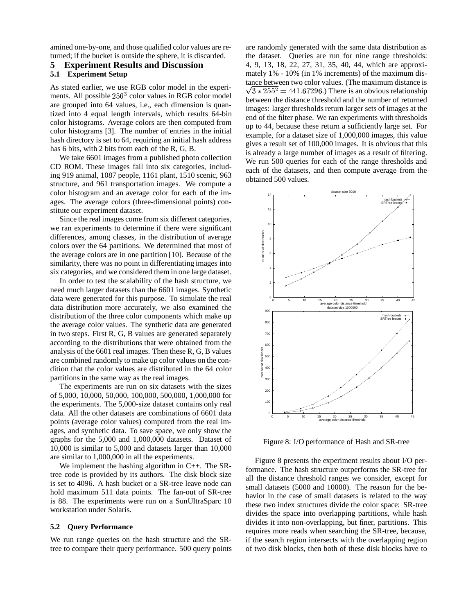amined one-by-one, and those qualified color values are returned; if the bucket is outside the sphere, it is discarded.

## **5 Experiment Results and Discussion**

#### **5.1 Experiment Setup**

As stated earlier, we use RGB color model in the experiments. All possible  $256<sup>3</sup>$  color values in RGB color model are grouped into 64 values, i.e., each dimension is quantized into 4 equal length intervals, which results 64-bin color histograms. Average colors are then computed from color histograms [3]. The number of entries in the initial hash directory is set to 64, requiring an initial hash address has 6 bits, with 2 bits from each of the R, G, B.

We take 6601 images from a published photo collection CD ROM. These images fall into six categories, including 919 animal, 1087 people, 1161 plant, 1510 scenic, 963 structure, and 961 transportation images. We compute a color histogram and an average color for each of the images. The average colors (three-dimensional points) constitute our experiment dataset.

Since the real images come from six different categories, we ran experiments to determine if there were significant differences, among classes, in the distribution of average colors over the 64 partitions. We determined that most of the average colors are in one partition [10]. Because of the similarity, there was no point in differentiating images into six categories, and we considered them in one large dataset.

In order to test the scalability of the hash structure, we need much larger datasets than the 6601 images. Synthetic data were generated for this purpose. To simulate the real data distribution more accurately, we also examined the distribution of the three color components which make up the average color values. The synthetic data are generated in two steps. First R, G, B values are generated separately according to the distributions that were obtained from the analysis of the 6601 real images. Then these R, G, B values are combined randomly to make up color values on the condition that the color values are distributed in the 64 color partitions in the same way as the real images.

The experiments are run on six datasets with the sizes of 5,000, 10,000, 50,000, 100,000, 500,000, 1,000,000 for the experiments. The 5,000-size dataset contains only real data. All the other datasets are combinations of 6601 data points (average color values) computed from the real images, and synthetic data. To save space, we only show the graphs for the 5,000 and 1,000,000 datasets. Dataset of 10,000 is similar to 5,000 and datasets larger than 10,000 are similar to 1,000,000 in all the experiments.

We implement the hashing algorithm in C++. The SRtree code is provided by its authors. The disk block size is set to 4096. A hash bucket or a SR-tree leave node can hold maximum 511 data points. The fan-out of SR-tree is 88. The experiments were run on a SunUltraSparc 10 workstation under Solaris.

#### **5.2 Query Performance**

We run range queries on the hash structure and the SRtree to compare their query performance. 500 query points are randomly generated with the same data distribution as the dataset. Queries are run for nine range thresholds: 4, 9, 13, 18, 22, 27, 31, 35, 40, 44, which are approximately 1% - 10% (in 1% increments) of the maximum distance between two color values. (The maximum distance is  $\sqrt{3*255^2}$  = 441.67296.) There is an obvious relationship between the distance threshold and the number of returned images: larger thresholds return larger sets of images at the end of the filter phase. We ran experiments with thresholds up to 44, because these return a sufficiently large set. For example, for a dataset size of 1,000,000 images, this value gives a result set of 100,000 images. It is obvious that this is already a large number of images as a result of filtering. We run 500 queries for each of the range thresholds and each of the datasets, and then compute average from the obtained 500 values.



Figure 8: I/O performance of Hash and SR-tree

Figure 8 presents the experiment results about I/O performance. The hash structure outperforms the SR-tree for all the distance threshold ranges we consider, except for small datasets (5000 and 10000). The reason for the behavior in the case of small datasets is related to the way these two index structures divide the color space: SR-tree divides the space into overlapping partitions, while hash divides it into non-overlapping, but finer, partitions. This requires more reads when searching the SR-tree, because, if the search region intersects with the overlapping region of two disk blocks, then both of these disk blocks have to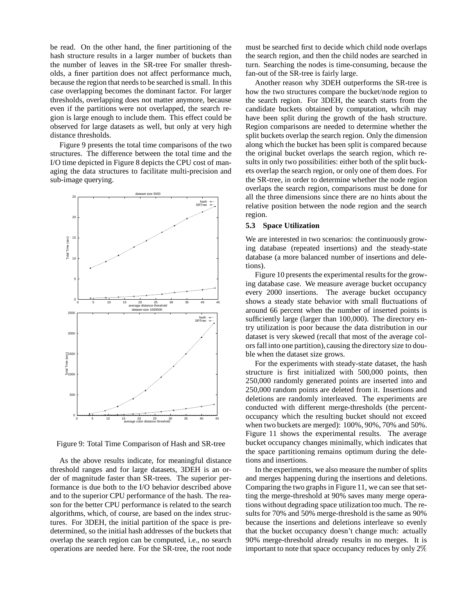be read. On the other hand, the finer partitioning of the hash structure results in a larger number of buckets than the number of leaves in the SR-tree For smaller thresholds, a finer partition does not affect performance much, because the region that needs to be searched is small. In this case overlapping becomes the dominant factor. For larger thresholds, overlapping does not matter anymore, because even if the partitions were not overlapped, the search region is large enough to include them. This effect could be observed for large datasets as well, but only at very high distance thresholds.

Figure 9 presents the total time comparisons of the two structures. The difference between the total time and the I/O time depicted in Figure 8 depicts the CPU cost of managing the data structures to facilitate multi-precision and sub-image querying.



Figure 9: Total Time Comparison of Hash and SR-tree

As the above results indicate, for meaningful distance threshold ranges and for large datasets, 3DEH is an order of magnitude faster than SR-trees. The superior performance is due both to the I/O behavior described above and to the superior CPU performance of the hash. The reason for the better CPU performance is related to the search algorithms, which, of course, are based on the index structures. For 3DEH, the initial partition of the space is predetermined, so the initial hash addresses of the buckets that overlap the search region can be computed, i.e., no search operations are needed here. For the SR-tree, the root node

must be searched first to decide which child node overlaps the search region, and then the child nodes are searched in turn. Searching the nodes is time-consuming, because the fan-out of the SR-tree is fairly large.

Another reason why 3DEH outperforms the SR-tree is how the two structures compare the bucket/node region to the search region. For 3DEH, the search starts from the candidate buckets obtained by computation, whcih may have been split during the growth of the hash structure. Region comparisons are needed to determine whether the split buckets overlap the search region. Only the dimension along which the bucket has been split is compared because the original bucket overlaps the search region, which results in only two possibilities: either both of the split buckets overlap the search region, or only one of them does. For the SR-tree, in order to determine whether the node region overlaps the search region, comparisons must be done for all the three dimensions since there are no hints about the relative position between the node region and the search region.

#### **5.3 Space Utilization**

We are interested in two scenarios: the continuously growing database (repeated insertions) and the steady-state database (a more balanced number of insertions and deletions).

Figure 10 presents the experimental results for the growing database case. We measure average bucket occupancy every 2000 insertions. The average bucket occupancy shows a steady state behavior with small fluctuations of around 66 percent when the number of inserted points is sufficiently large (larger than 100,000). The directory entry utilization is poor because the data distribution in our dataset is very skewed (recall that most of the average colors fall into one partition), causing the directory size to double when the dataset size grows.

For the experiments with steady-state dataset, the hash structure is first initialized with 500,000 points, then 250,000 randomly generated points are inserted into and 250,000 random points are deleted from it. Insertions and deletions are randomly interleaved. The experiments are conducted with different merge-thresholds (the percentoccupancy which the resulting bucket should not exceed when two buckets are merged): 100%, 90%, 70% and 50%. Figure 11 shows the experimental results. The average bucket occupancy changes minimally, which indicates that the space partitioning remains optimum during the deletions and insertions.

In the experiments, we also measure the number of splits and merges happening during the insertions and deletions. Comparing the two graphs in Figure 11, we can see that setting the merge-threshold at 90% saves many merge operations without degrading space utilization too much. The results for 70% and 50% merge-threshold is the same as 90% because the insertions and deletions interleave so evenly that the bucket occupancy doesn't change much: actually 90% merge-threshold already results in no merges. It is important to note that space occupancy reduces by only 2%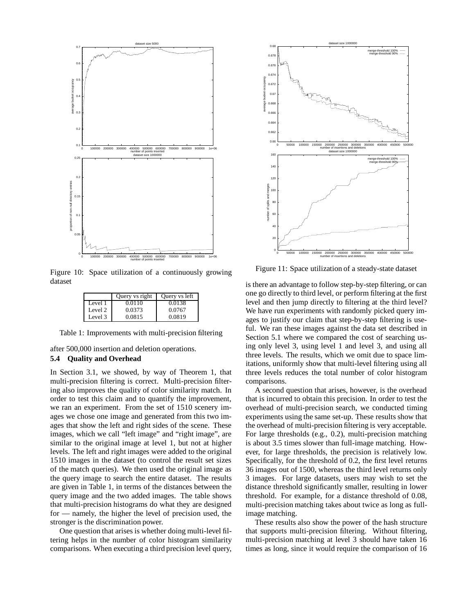

Figure 10: Space utilization of a continuously growing dataset

|         | Query vs right | Query vs left |
|---------|----------------|---------------|
| Level 1 | 0.0110         | 0.0138        |
| Level 2 | 0.0373         | 0.0767        |
| Level 3 | 0.0815         | 0.0819        |

Table 1: Improvements with multi-precision filtering

after 500,000 insertion and deletion operations. **5.4 Quality and Overhead**

In Section 3.1, we showed, by way of Theorem 1, that multi-precision filtering is correct. Multi-precision filtering also improves the quality of color similarity match. In order to test this claim and to quantify the improvement, we ran an experiment. From the set of 1510 scenery images we chose one image and generated from this two images that show the left and right sides of the scene. These images, which we call "left image" and "right image", are similar to the original image at level 1, but not at higher levels. The left and right images were added to the original 1510 images in the dataset (to control the result set sizes of the match queries). We then used the original image as the query image to search the entire dataset. The results are given in Table 1, in terms of the distances between the query image and the two added images. The table shows that multi-precision histograms do what they are designed for — namely, the higher the level of precision used, the stronger is the discrimination power.

One question that arises is whether doing multi-level filtering helps in the number of color histogram similarity comparisons. When executing a third precision level query,



Figure 11: Space utilization of a steady-state dataset

is there an advantage to follow step-by-step filtering, or can one go directly to third level, or perform filtering at the first level and then jump directly to filtering at the third level? We have run experiments with randomly picked query images to justify our claim that step-by-step filtering is useful. We ran these images against the data set described in Section 5.1 where we compared the cost of searching using only level 3, using level 1 and level 3, and using all three levels. The results, which we omit due to space limitations, uniformly show that multi-level filtering using all three levels reduces the total number of color histogram comparisons.

A second question that arises, however, is the overhead that is incurred to obtain this precision. In order to test the overhead of multi-precision search, we conducted timing experiments using the same set-up. These results show that the overhead of multi-precision filtering is very acceptable. For large thresholds (e.g., 0.2), multi-precision matching is about 3.5 times slower than full-image matching. However, for large thresholds, the precision is relatively low. Specifically, for the threshold of 0.2, the first level returns 36 images out of 1500, whereas the third level returns only 3 images. For large datasets, users may wish to set the distance threshold significantly smaller, resulting in lower threshold. For example, for a distance threshold of 0.08, multi-precision matching takes about twice as long as fullimage matching.

These results also show the power of the hash structure that supports multi-precision filtering. Without filtering, multi-precision matching at level 3 should have taken 16 times as long, since it would require the comparison of 16